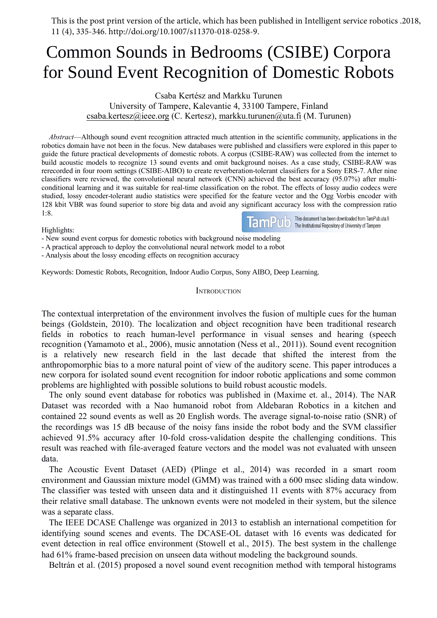This is the post print version of the article, which has been published in Intelligent service robotics .2018, 11 (4), 335-346. http://doi.org/10.1007/s11370-018-0258-9.

# Thisis the post print version of the article, which has been published in Intelligent service robotics .2018,<br>
11 (4), 335-346. http://doi.org/10.1007/s11370-018-0258-9.<br> **Common Sounds in Bedrooms (CSIBE) Corpora**<br>
for This is the post print version of the article, which has been published in Intelligent service robotics .2018,<br>
11 (4), 335-346. http://doi.org/10.1007/s11370-018-0258-9.<br> **COMMON SOUNDS IN BED COMMINATELY COMPOTE SOUND SO** of the article, which has been published in Intelligent service robot<br>5/10.1007/s11370-018-0258-9.<br>**CSIBE) Corporancy (CSIBE) Corporancy**<br>**CSABA Kertész and Markku Turunen**<br>CSABA Kertész and Markku Turunen<br>FTampere, Kaleva orint version of the article, which has been published in Intelligent service robotics .2018,<br>http://doi.org/10.1007/s11370-018-0258-9.<br>1 **Sounds in Bedrooms (CSIBE) Corpora**<br>1 **Event Recognition of Domestic Robots**<br>Csaba post print version of the article, which has been published in Intelligent service robotics .2018,<br>5-346. http://doi.org/10.1007/s11370-018-0258-9.<br>**COLOCE EXECT DESCALE COLOCE UNITAL EVENT RECOGNITION OF DOMESTIC RODOTS**<br>

*Abstract*—Although sound event recognition attracted much attention of Domestic Robots<br> *Abstract*—Although sound event recognition of much attention of much complement complement complement community, applications in the **COMMON SOUNDS IN BED COMMON (CSIBE) COPPOTA**<br>
for Sound Event Recognition of Domestic Robots<br>
Csaba Kertész and Markku Turunen<br>
University of Tampere, Kalevantie 4, 33100 Tampere, Finland<br>
<u>esaba.kertesz@ieee.org</u> (C. Ker **Common Sounds in Bedrooms (CSIBE) Corpora**<br>
for Sound Event Recognition of Domestic Robots<br>
Csaba Kertész and Markku Turunen<br>
University of Tampere, Kalevantie 4, 33100 Tampere, Finland<br>
<u>csaba.kertesz@ieee.org</u> (C. Kert **COILINIOII SOUIIIGS III Beuroofilion of Domestic Robots**<br> **for Sound Event Recognition of Domestic Robots**<br>
Csaba Kertész and Markku Turunen<br>
University of Tampere, Kalevantie 4, 33100 Tampere, Finland<br>
<u>csaba.kertesz@ie</u> for Sound Event Recognition of Domestic Robots<br>
Csaba Kertész and Markku Turunen<br>
University of Tampere, Kalevantie 4, 33100 Tampere, Finland<br>
csaba.kertesz@ieee.org (C. Kertesz), markku.turunen@uta.fi (M. Turunen)<br> *Abst* **COLOCE SEXT EXECT ACCO SUMMAL CONVOLUTE CONVOLUTE CONVOLUTE CONVOLUTE CS**<br>
Csaba Kertész and Markku Turunen<br>
Csaba.kertesz@icee.org (C. Kertesz), markku.turunen@uta.fi (M. Turunen)<br> *Abstract*—Although sound event recogn Conditional Learning Conditional Internation of the Conditional Capacity Condition of the Conditional Casaba. Kertesz@ice.org (C. Kertesz), markku.turunen@uta.fi (M. Turunen)<br> *Abstract*—Although sound event recognition a Csaba Kertész and Markku Turunen<br>
University of Tampere, Kalevantie 4, 33100 Tampere, Finland<br>
csaba.kertesz@ieee.org (C. Kertesz), markku.turunen@uta.fi (M. Turunen)<br> *Abstract*—Although sound event recognition attacted Csaba Kertész and Markku Turunen<br>
Csaba. kertesz@ieee.org (C. Kertesz), markku.turunen@uta.fi (M. Turunen)<br> *Abstract*—Although sound event recognition attracted much attention in the scientific community, applications in 1:8. Abstract—Although sound event recognition attracted much attention in the scientific community, applicative corpus corpus corpus corpus corpus gaide the future practical developments of domestic robots. A corpus (CSIBE-RA Abstract—Although sound event recogntion attracted much attention on the scentific community, applications in the scentific convolutional and classifiers were explored in this pappel<br>applicable for the future practical de robotics domain have not been in the focus. New databases were published and classitiers were equide the future practical developments of domestic robots. A corpus (CSIBE-RIBO) to call the divergenum onises. As a cale stre but acoustic modes to recognize 13 sound events and omit background noises. As a case study, CSIBE-AIBO) to create reverberation-tolerant classifiers for a Sony ER:<br>classifiers were reviewed, the convolutional neural netwo

Highlights:

### **INTRODUCTION**

conditional learning and it was suitable for real-time classification on the robot. The effects of lossy audio codecs were<br>studied, lossy encoder-tolerant audio statistics were specified for the feature vector and the Oge studied, lossy encoder-tolerant audio statisties were specified for the feature vector and the Ogg Vorbis encoder with<br>
128. kbit VBR was found superior to store big data and avoid any significant accuracy loss with the co 128 kbit VBR was found superior to store big data and avoid any significant accuracy loss with the compression ratio<br>
1:8.<br>
IF Highlights:<br>
Fighlights:<br>
- New sound event corpus for domestic robotics with background noise Fightights:<br>  $\blacksquare$ <br>  $\blacksquare$  Tellinghights:<br>  $\blacksquare$  A practical approach to deploy the convolutional neural network model to a robot<br>  $\blacksquare$  A practical approach to deploy the convolutional neural network model to a robot<br> Fighlights:<br>
Fighlights:<br>
The solution event corpus for domestic robotics with background noise modeling<br>
- A practical approach to deploy the convolutional neural network model to a robot<br>
- Analysis about the lossy encod Frew sound event corpus for domestic robotics with background noise modeling<br>
A practical approach to deploy the convolutional neural network model to a robot<br>
A malysis about the lossy encoding effects on recognition accu - A practical approach to deploy the convolutional neural network model to a robot<br>
- Analysis about the lossy encoding effects on recognition accuracy<br>
Keywords: Domestic Robots, Recognition, Indoor Audio Corpus, Sony AIB -Analysis about the lossy encoding effects on recognition accuracy<br>
Keywords: Domestic Robots, Recognition, Indoor Audio Corpus, Sony AIBO, Deep Learning.<br>
INTRODUCTION<br>
The contextual interpretation of the environment inv Experiment Conduct The only some state of the environment involves the fusion of multiple cues for the human<br>
ings (Goldstein, 2010). The localization and object recognition have been traditional research<br>
econtextual inte Is a correlation of the environment involves the fusion of multiple cues for the humano beings (Goldstein, 2010). The localization and object recognition have been traditional research fields in robotics to reach human-lev INTRODUCTION<br>INTRODUCTION<br>Designgs (Goldstein, 2010). The localization and object recognition have been traditional research<br>fields in robotics to reach human-level performance in visual senses and hearing (speech<br>recognit The contextual interpretation of the environment involves the fusion of multiple eues for the human behings (Goldstein, 2010). The localization and object recognition have been traditional research fields in robotics to re The contextual interpretation of the environment involves the fusion of multiple cues for the human<br>beings (Goldstein, 2010). The localization and object recognition have been traditional research<br>fields in robotics to re

Free to the model with a Nao humanoid robot from Alella with the model was reached with an example in the last decade that shifted the interest from the is a relatively new research field in the last decade that shifted th data. cognition (Yamamoto et al., 2006), music annotation (Ness et al., 2011)). Sound event recognition<br>a relatively new research field in the last decade that shifted the interest from the<br>ditropomorphic bias to a more natural is a relatively new research field in the last decade that shifted the interest from the anthropomorphic bias to a more natural point of view of the auditory scene. This paper introduces a mew compora for isolated sound ev anthropomorphic bias to a more natural point of view of the auditory scene. This paper introduces a<br>new corpora for isolated sound event recognition for indoor robotic applications and some common<br>problems are highlighted new corpora for isolated sound event recognition for indoor robotic applications and some common<br>problems are highlighted with possible solutions to build robust acoustic models.<br>The only sound cvent database for robotics problems are highlighted with possible solutions to bu<br>The only sound event database for robotics was p<br>Dataset was recorded with a Nao humanoid robot<br>contained 22 sound events as well as 20 English wor<br>the recordings was The only sound event database for robotics was published in (Maxime et. al., 2014). The NAR<br>
ataset was recorded with a Nao humanoid robot from Aldebaran Robotics in a kitchen and<br>
traitional creation sa well as 20 English Dataset was recorded with a Nao humanoid robot from Aldebaran Robotics in a kitchen and contained 22 sound events as well as 20 English words. The average signal-to-noise ratio (SNR) of the reordings was 15 dB because of t contained 22 sound events as well as 20 English words. The average signal-to-noise ratio (SNR) of<br>the recordings was 15 dB because of the noisy fans inside the robot body and the SVM classifier<br>result was reached with file

the recordings was 15 dB because of the noisy fans inside the robot body and the SVM classifier<br>achieved 91.5% accuracy after 10-fold cross-validation despite the challenging conditions. This<br>result was reached with file-a hieved 91.5% accuracy after 10-fold cross-validation despite the challenging conditions. This usult was reached with file-averaged feature vectors and the model was not evaluated with unseen tata.<br>
tat.<br>
tat.<br>
The Acoustic

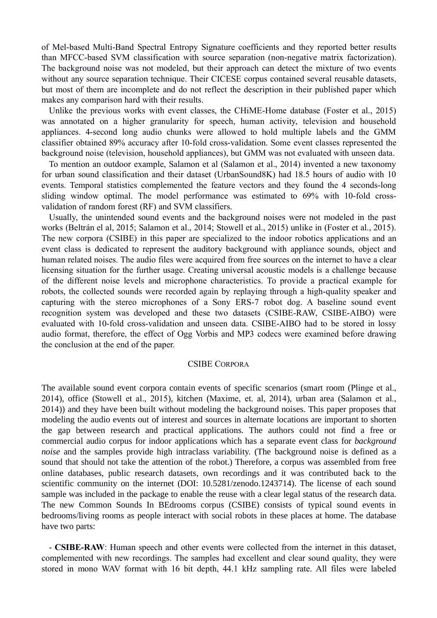of Mel-based Multi-Band Spectral Entropy Signature coefficients and they reported better results than MFCC-based SVM classification with source separation (non-negative matrix factorization). The background noise was not modeled, but their approach can detect the mixture of two events without any source separation technique. Their CICESE corpus contained several reusable datasets, but most of them are incomplete and do not reflect the description in their published paper which makes any comparison hard with their results.

Unlike the previous works with event classes, the CHiME-Home database (Foster et al., 2015) was annotated on a higher granularity for speech, human activity, television and household appliances. 4-second long audio chunks were allowed to hold multiple labels and the GMM classifier obtained 89% accuracy after 10-fold cross-validation. Some event classes represented the background noise (television, household appliances), but GMM was not evaluated with unseen data.

To mention an outdoor example, Salamon et al (Salamon et al., 2014) invented a new taxonomy for urban sound classification and their dataset (UrbanSound8K) had 18.5 hours of audio with 10 events. Temporal statistics complemented the feature vectors and they found the 4 seconds-long sliding window optimal. The model performance was estimated to 69% with 10-fold cross validation of random forest (RF) and SVM classifiers.

Usually, the unintended sound events and the background noises were not modeled in the past works (Beltrán el al, 2015; Salamon et al., 2014; Stowell et al., 2015) unlike in (Fosteret al., 2015). The new corpora (CSIBE) in this paper are specialized to the indoor robotics applications and an event class is dedicated to represent the auditory background with appliance sounds, object and human related noises. The audio files were acquired from free sources on the internet to have a clear licensing situation for the further usage. Creating universal acoustic models is a challenge because of the different noise levels and microphone characteristics. To provide a practical example for robots, the collected sounds were recorded again by replaying through a high-quality speaker and capturing with the stereo microphones of a Sony ERS-7 robot dog. A baseline sound event recognition system was developed and these two datasets (CSIBE-RAW, CSIBE-AIBO) were evaluated with 10-fold cross-validation and unseen data. CSIBE-AIBO had to be stored in lossy audio format, therefore, the effect of Ogg Vorbis and MP3 codecs were examined before drawing the conclusion at the end of the paper.

### CSIBE CORPORA

The available sound event corpora contain events of specific scenarios (smart room (Plinge et al., 2014), office (Stowell et al., 2015), kitchen (Maxime, et. al, 2014), urban area (Salamon et al., 2014)) and they have been built without modeling the background noises. This paper proposes that modeling the audio events out of interest and sources in alternate locations are important to shorten the gap between research and practical applications. The authors could not find a free or commercial audio corpus for indoor applications which has a separate event class for *background noise* and the samples provide high intraclass variability. (The background noise is defined as a sound that should not take the attention of the robot.) Therefore, a corpus was assembled from free online databases, public research datasets, own recordings and it was contributed back to the scientific community on the internet (DOI: 10.5281/zenodo.1243714). The license of each sound sample was included in the package to enable the reuse with a clear legal status of the research data. The new Common Sounds In BEdrooms corpus (CSIBE) consists of typical sound events in bedrooms/living rooms as people interact with social robots in these places at home. The database have two parts:

- **CSIBE-RAW**: Human speech and other events were collected from the internet in this dataset, complemented with new recordings. The samples had excellent and clear sound quality, they were stored in mono WAV format with 16 bit depth, 44.1 kHz sampling rate. All files were labeled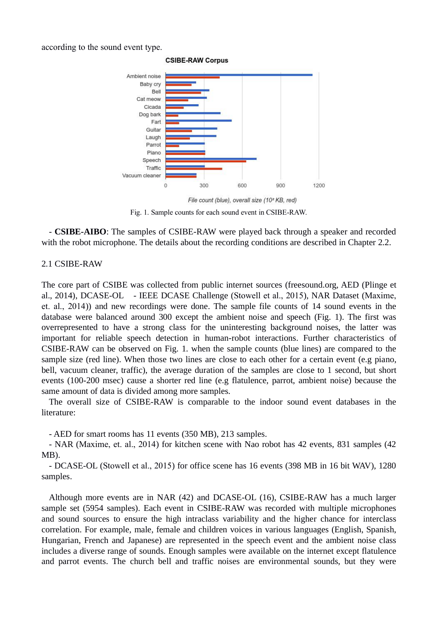according to the sound event type.



**CSIBE-RAW Corpus** 

File count (blue), overall size (10<sup>2</sup> KB, red) Fig. 1. Sample counts for each sound event in CSIBE-RAW.

- **CSIBE-AIBO**: The samples of CSIBE-RAW were played back through a speaker and recorded with the robot microphone. The details about the recording conditions are described in Chapter 2.2.

### 2.1 CSIBE-RAW

The core part of CSIBE was collected from public internet sources (freesound.org, AED (Plinge et al., 2014), DCASE-OL - IEEE DCASE Challenge (Stowell et al., 2015), NAR Dataset (Maxime, et. al., 2014)) and new recordings were done. The sample file counts of 14 sound events in the database were balanced around 300 except the ambient noise and speech (Fig. 1). The first was overrepresented to have a strong class for the uninteresting background noises, the latter was important for reliable speech detection in human-robot interactions. Further characteristics of CSIBE-RAW can be observed on Fig. 1. when the sample counts (blue lines) are compared to the sample size (red line). When those two lines are close to each other for a certain event (e.g piano, bell, vacuum cleaner, traffic), the average duration of the samples are close to 1 second, but short events (100-200 msec) cause a shorter red line (e.g flatulence, parrot, ambient noise) because the same amount of data is divided among more samples.<br>The overall size of CSIBE-RAW is comparable to the indoor sound event databases in the

literature:

- AED for smart rooms has 11 events (350 MB), 213 samples.

- NAR (Maxime, et. al., 2014) for kitchen scene with Nao robot has 42 events, 831 samples (42 MB).

- DCASE-OL (Stowell et al., 2015) for office scene has 16 events (398 MB in 16 bit WAV), 1280 samples.

Although more events are in NAR (42) and DCASE-OL (16), CSIBE-RAW has a much larger sample set (5954 samples). Each event in CSIBE-RAW was recorded with multiple microphones and sound sources to ensure the high intraclass variability and the higher chance for interclass correlation. For example, male, female and children voices in various languages (English, Spanish, Hungarian, French and Japanese) are represented in the speech event and the ambient noise class includes a diverse range of sounds. Enough samples were available on the internet except flatulence and parrot events. The church bell and traffic noises are environmental sounds, but they were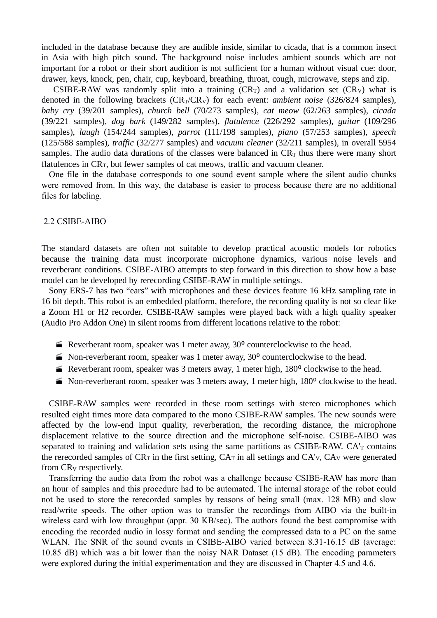included in the database because they are audible inside, similar to cicada, that is a common insect in Asia with high pitch sound. The background noise includes ambient sounds which are not important for a robot or their short audition is not sufficient for a human without visual cue: door, drawer, keys, knock, pen, chair, cup, keyboard, breathing, throat, cough, microwave, steps and zip.

CSIBE-RAW was randomly split into a training  $(CR_T)$  and a validation set  $(CR_V)$  what is denoted in the following brackets  $(CR_T/CR_V)$  for each event: *ambient noise* (326/824 samples), *baby cry* (39/201 samples), *church bell* (70/273 samples), *cat meow* (62/263 samples),*cicada* (39/221 samples), *dog bark* (149/282 samples), *flatulence* (226/292 samples), *guitar* (109/296 samples), *laugh* (154/244 samples), *parrot* (111/198 samples), *piano* (57/253 samples), *speech* (125/588 samples), *traffic* (32/277 samples) and *vacuum cleaner* (32/211 samples), in overall 5954 samples. The audio data durations of the classes were balanced in  $CR<sub>T</sub>$  thus there were many short flatulences in  $CR_T$ , but fewer samples of cat meows, traffic and vacuum cleaner.

One file in the database corresponds to one sound event sample where the silent audio chunks were removed from. In this way, the database is easier to process because there are no additional files for labeling.

## 2.2 CSIBE-AIBO

The standard datasets are often not suitable to develop practical acoustic models for robotics because the training data must incorporate microphone dynamics, various noise levels and reverberant conditions. CSIBE-AIBO attempts to step forward in this direction to show how a base model can be developed by rerecording CSIBE-RAW in multiple settings.

Sony ERS-7 has two "ears" with microphones and these devices feature 16 kHz sampling rate in 16 bit depth. This robot is an embedded platform, therefore, the recording quality is not so clear like a Zoom H1 or H2 recorder. CSIBE-RAW samples were played back with a high quality speaker (Audio Pro Addon One) in silent rooms from different locations relative to the robot:

- **E** Reverberant room, speaker was 1 meter away,  $30^{\circ}$  counterclockwise to the head.
- $\blacktriangleright$  Non-reverberant room, speaker was 1 meter away, 30 $\degree$  counterclockwise to the head.
- E Reverberant room, speaker was 3 meters away, 1 meter high,  $180^{\circ}$  clockwise to the head.
- $\blacktriangleright$  Non-reverberant room, speaker was 3 meters away, 1 meter high, 180 $\degree$  clockwise to the head.

CSIBE-RAW samples were recorded in these room settings with stereo microphones which resulted eight times more data compared to the mono CSIBE-RAW samples. The new sounds were affected by the low-end input quality, reverberation, the recording distance, the microphone displacement relative to the source direction and the microphone self-noise. CSIBE-AIBO was separated to training and validation sets using the same partitions as CSIBE-RAW.  $CA<sub>T</sub>$  contains the rerecorded samples of  $CR_T$  in the first setting,  $CA_T$  in all settings and  $CA_V$ ,  $CA_V$  were generated from CR<sub>V</sub> respectively.

Transferring the audio data from the robot was a challenge because CSIBE-RAW has more than an hour of samples and this procedure had to be automated. The internal storage of the robot could not be used to store the rerecorded samples by reasons of being small (max. 128 MB) and slow read/write speeds. The other option was to transfer the recordings from AIBO via the built-in wireless card with low throughput (appr. 30 KB/sec). The authors found the best compromise with encoding the recorded audio in lossy format and sending the compressed data to a PC on the same WLAN. The SNR of the sound events in CSIBE-AIBO varied between 8.31-16.15 dB (average: 10.85 dB) which was a bitlower than the noisy NAR Dataset (15 dB). The encoding parameters were explored during the initial experimentation and they are discussed in Chapter 4.5 and 4.6.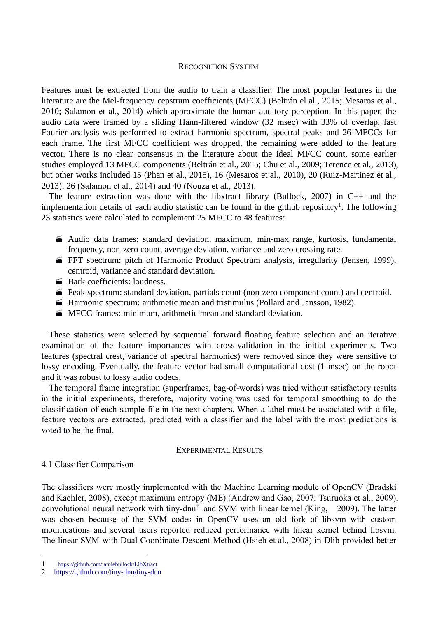### RECOGNITION SYSTEM

Features must be extracted from the audio to train a classifier. The most popular features in the literature are the Mel-frequency cepstrum coefficients (MFCC) (Beltrán el al., 2015; Mesaros et al., 2010; Salamon et al., 2014) which approximate the human auditory perception. In this paper, the audio data were framed by a sliding Hann-filtered window (32 msec) with 33% of overlap, fast Fourier analysis was performed to extract harmonic spectrum, spectral peaks and 26 MFCCs for each frame. The first MFCC coefficient was dropped, the remaining were added to the feature vector. There is no clear consensus in the literature about the ideal MFCC count, some earlier studies employed 13 MFCC components (Beltrán et al., 2015; Chu et al., 2009; Terence et al., 2013), but other works included 15 (Phan et al., 2015), 16 (Mesaros et al., 2010), 20 (Ruiz-Martinez et al., 2013), 26 (Salamon et al., 2014) and 40 (Nouza et al., 2013).

The feature extraction was done with the libxtract library (Bullock, 2007) in  $C_{++}$  and the implementation details of each audio statistic can be found in the github repository<sup>1</sup>. The following 23 statistics were calculated to complement 25 MFCC to 48 features:

- Audio data frames: standard deviation, maximum, min-max range, kurtosis, fundamental frequency, non-zero count, average deviation, variance and zero crossing rate.
- **FH** spectrum: pitch of Harmonic Product Spectrum analysis, irregularity (Jensen, 1999), centroid, variance and standard deviation.
- **Bark coefficients: loudness.**
- Peak spectrum: standard deviation, partials count (non-zero component count) and centroid.
- Harmonic spectrum: arithmetic mean and tristimulus (Pollard and Jansson, 1982).
- **MECC** frames: minimum, arithmetic mean and standard deviation.

These statistics were selected by sequential forward floating feature selection and an iterative examination of the feature importances with cross-validation in the initial experiments. Two features (spectral crest, variance of spectral harmonics) were removed since they were sensitive to lossy encoding. Eventually, the feature vector had small computational cost (1 msec) on the robot and it was robust to lossy audio codecs.

The temporal frame integration (superframes, bag-of-words) was tried without satisfactory results in the initial experiments, therefore, majority voting was used for temporal smoothing to do the classification of each sample file in the next chapters. When <sup>a</sup> label must be associated with <sup>a</sup> file,feature vectors are extracted, predicted with <sup>a</sup> classifier and the label with the most predictions is voted to be the final.

# EXPERIMENTAL RESULTS

# 4.1 Classifier Comparison

The classifiers were mostly implemented with the Machine Learning module of OpenCV (Bradski and Kaehler, 2008), except maximum entropy (ME) (Andrew and Gao, 2007; Tsuruoka et al., 2009), convolutional neural network with tiny-dnn <sup>2</sup> and SVM with linear kernel (King, 2009). The latter was chosen because of the SVM codes in OpenCV uses an old fork of libsvm with custom modifications and several users reported reduced performance with linear kernel behind libsvm. The linear SVM with Dual Coordinate Descent Method (Hsieh et al., 2008) in Dlib provided better

<sup>1</sup> [https://github.com/jamiebullock/LibXtract](�� h t s / g t u . o / a i b l o k L b t a tB�B�BSBfBSB�B�)

<sup>2</sup> [https://github.com/tiny-dnn/tiny-dnn](�� h t s / g t u . o / i y d n t n - n)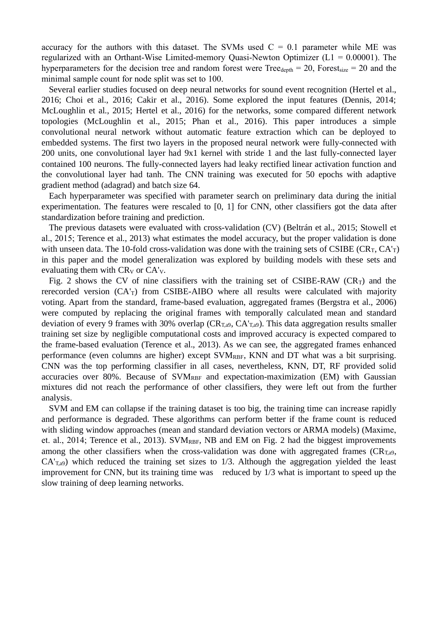accuracy for the authors with this dataset. The SVMs used  $C = 0.1$  parameter while ME was regularized with an Orthant-Wise Limited-memory Quasi-Newton Optimizer  $(L1 = 0.00001)$ . The hyperparameters for the decision tree and random forest were  $Tree_{depth} = 20$ ,  $Forest_{size} = 20$  and the minimal sample count for node split was set to 100.

Several earlier studies focused on deep neural networks for sound event recognition (Hertel et al., 2016; Choi et al., 2016; Cakir et al., 2016). Some explored the input features (Dennis, 2014; McLoughlin et al., 2015; Hertel et al., 2016) for the networks, some compared different network topologies (McLoughlin et al., 2015; Phan et al., 2016). This paper introduces a simple convolutional neural network without automatic feature extraction which can be deployed to embedded systems. The first two layers in the proposed neural network were fully-connected with 200 units, one convolutional layer had 9x1 kernel with stride 1 and the last fully-connected layer contained 100 neurons. The fully-connected layers had leaky rectified linear activation function and the convolutional layer had tanh. The CNN training was executed for 50 epochs with adaptive gradient method (adagrad) and batch size 64.

Each hyperparameter was specified with parameter search on preliminary data during the initial experimentation. The features were rescaled to [0, 1] for CNN, other classifiers got the data after standardization before training and prediction.

The previous datasets were evaluated with cross-validation (CV) (Beltrán et al., 2015; Stowell et al., 2015; Terence et al., 2013) what estimates the model accuracy, but the proper validation is done with unseen data. The 10-fold cross-validation was done with the training sets of CSIBE (CR<sub>T</sub>, CA'<sub>T</sub>) in this paper and the model generalization was explored by building models with these sets and evaluating them with  $CR_V$  or  $CA'_{V}$ .

Fig. 2 shows the CV of nine classifiers with the training set of CSIBE-RAW (CR<sub>T</sub>) and the rerecorded version  $(CA<sub>T</sub>)$  from CSIBE-AIBO where all results were calculated with majority voting. Apart from the standard, frame-based evaluation, aggregated frames (Bergstra et al., 2006) were computed by replacing the original frames with temporally calculated mean and standard deviation of every 9 frames with 30% overlap ( $CR<sub>T,a9</sub>$ ,  $CA'<sub>T,a9</sub>$ ). This data aggregation results smaller training set size by negligible computational costs and improved accuracy is expected compared to the frame-based evaluation (Terence et al., 2013). As we can see, the aggregated frames enhanced performance (even columns are higher) except  $SVM_{RBF}$ ,  $KNN$  and  $DT$  what was a bit surprising. CNN was the top performing classifier in all cases, nevertheless, KNN, DT, RF provided solid accuracies over 80%. Because of  $\text{SVM}_{\text{RBF}}$  and expectation-maximization (EM) with Gaussian mixtures did not reach the performance of other classifiers, they were left out from the further analysis.

SVM and EM can collapse if the training dataset is too big, the training time can increase rapidly and performance is degraded. These algorithms can perform better if the frame count is reduced with sliding window approaches (mean and standard deviation vectors or ARMA models) (Maxime, et. al., 2014; Terence et al., 2013). SV $M_{RBF}$ , NB and EM on Fig. 2 had the biggest improvements among the other classifiers when the cross-validation was done with aggregated frames ( $CR<sub>T,a9</sub>$ ,  $CA<sub>T,a9</sub>$ ) which reduced the training set sizes to 1/3. Although the aggregation yielded the least improvement for CNN, but its training time was reduced by 1/3 what is important to speed up the slow training of deep learning networks.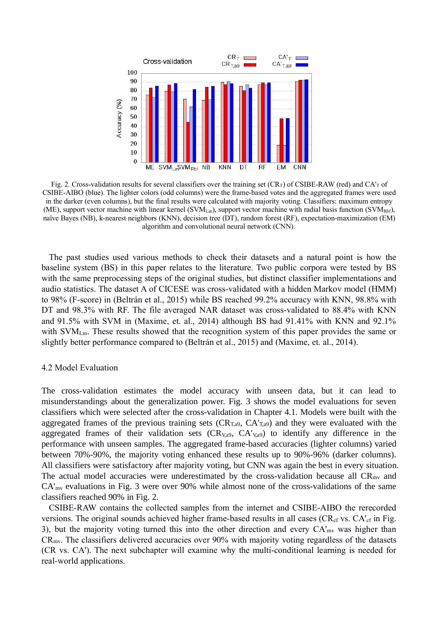

Fig. 2. Cross-validation results for several classifiers over the training set  $(CR_T)$  of CSIBE-RAW (red) and  $CA_T$  of CSIBE-AIBO (blue). The lighter colors (odd columns) were the frame-based votes and the aggregated frames were used in the darker (even columns), but the final results were calculated with majority voting. Classifiers: maximum entropy (ME), support vector machine with linear kernel (SVM<sub>Lin</sub>), support vector machine with radial basis function (SVM<sub>Rbf</sub>), naïve Bayes (NB), k-nearest neighbors (KNN), decision tree (DT), random forest (RF), expectation-maximization (EM) algorithm and convolutional neural network (CNN).

The past studies used various methods to check their datasets and a natural point is how the baseline system (BS) in this paper relates to the literature. Two public corpora were tested by BS with the same preprocessing steps of the original studies, but distinct classifier implementations and audio statistics. The dataset A of CICESE was cross-validated with a hidden Markov model (HMM) to 98% (F-score) in (Beltrán et al., 2015) while BS reached 99.2% accuracy with KNN, 98.8% with DT and 98.3% with RF. The file averaged NAR dataset was cross-validated to 88.4% with KNN and 91.5% with SVM in (Maxime, et. al., 2014) although BS had 91.41% with KNN and 92.1% with SVM<sub>Lin</sub>. These results showed that the recognition system of this paper provides the same or slightly better performance compared to (Beltrán et al., 2015) and (Maxime, et. al., 2014).

### 4.2 Model Evaluation

The cross-validation estimates the model accuracy with unseen data, but it can lead to misunderstandings about the generalization power. Fig. 3 shows the model evaluations for seven classifiers which were selected after the cross-validation in Chapter 4.1. Models were built with the aggregated frames of the previous training sets ( $CR<sub>T,a9</sub>$ ,  $CA'<sub>T,a9</sub>$ ) and they were evaluated with the aggregated frames of their validation sets ( $CR<sub>V</sub>,a9$ ,  $CA<sub>V</sub>,a9$ ) to identify any difference in the performance with unseen samples. The aggregated frame-based accuracies (lighter columns) varied between 70%-90%, the majority voting enhanced these results up to 90%-96% (darker columns). All classifiers were satisfactory after majority voting, but CNN was again the best in every situation. The actual model accuracies were underestimated by the cross-validation because all  $CR_{mv}$  and  $CA<sub>mv</sub>$  evaluations in Fig. 3 were over 90% while almost none of the cross-validations of the same classifiers reached 90% in Fig. 2.

CSIBE-RAW contains the collected samples from the internet and CSIBE-AIBO the rerecorded versions. The original sounds achieved higher frame-based results in all cases (CR<sub>cf</sub> vs. CA'<sub>cf</sub> in Fig. 3), but the majority voting turned this into the other direction and every CA'mv was higher than  $CR<sub>mv</sub>$ . The classifiers delivered accuracies over 90% with majority voting regardless of the datasets (CR vs. CA'). The next subchapter will examine why the multi-conditional learning is needed for real-world applications.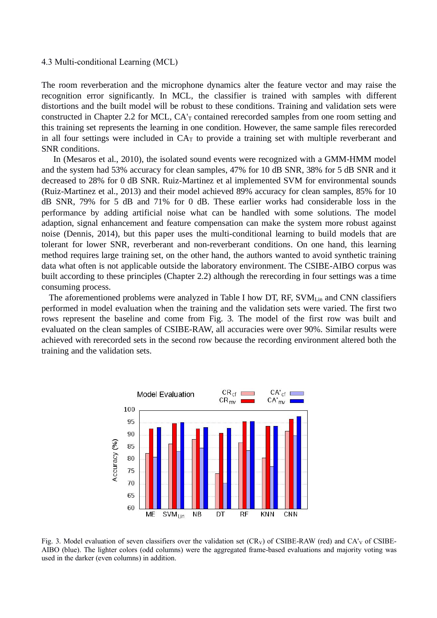### 4.3 Multi-conditional Learning (MCL)

The room reverberation and the microphone dynamics alter the feature vector and may raise the recognition error significantly. In MCL, the classifier is trained with samples with different distortions and the built model will be robust to these conditions. Training and validation sets were constructed in Chapter 2.2 for MCL, CA'<sub>T</sub> contained rerecorded samples from one room setting and this training set represents the learning in one condition. However, the same sample files rerecorded in all four settings were included in  $CA<sub>T</sub>$  to provide a training set with multiple reverberant and SNR conditions.

In (Mesaros et al., 2010), the isolated sound events were recognized with a GMM-HMM model and the system had 53% accuracy for clean samples, 47% for 10 dB SNR, 38% for 5 dB SNR and it decreased to 28% for 0 dB SNR. Ruiz-Martinez et al implemented SVM for environmental sounds (Ruiz-Martinez et al., 2013) and their model achieved 89% accuracy for clean samples, 85% for 10 dB SNR, 79% for 5 dB and 71% for 0 dB. These earlier works had considerable loss in the performance by adding artificial noise what can be handled with some solutions. The model adaption, signal enhancement and feature compensation can make the system more robust against noise (Dennis, 2014), but this paper uses the multi-conditional learning to build models that are tolerant for lower SNR, reverberant and non-reverberant conditions. On one hand, this learning method requires large training set, on the other hand, the authors wanted to avoid synthetic training data what often is not applicable outside the laboratory environment. The CSIBE-AIBO corpus was built according to these principles (Chapter 2.2) although the rerecording in four settings was a time consuming process.

The aforementioned problems were analyzed in Table I how DT, RF,  $SVM<sub>Lin</sub>$  and CNN classifiers performed in model evaluation when the training and the validation sets were varied. The first two rows represent the baseline and come from Fig. 3. The model of the first row was built and evaluated on the clean samples of CSIBE-RAW, all accuracies were over 90%. Similar results were achieved with rerecorded sets in the second row because the recording environment altered both the training and the validation sets.



Fig. 3. Model evaluation of seven classifiers over the validation set  $(CR_V)$  of CSIBE-RAW (red) and  $CA_V$  of CSIBE-AIBO (blue). The lighter colors (odd columns) were the aggregated frame-based evaluations and majority voting was used in the darker (even columns) in addition.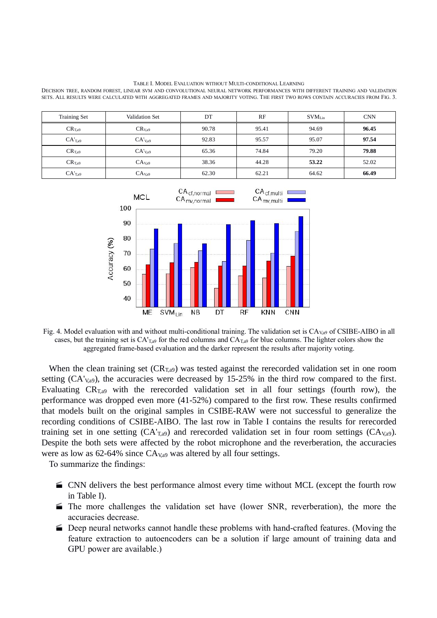TABLE I. MODEL EVALUATION WITHOUT MULTI-CONDITIONAL LEARNING

DECISION TREE, RANDOM FOREST, LINEAR SVM AND CONVOLUTIONAL NEURAL NETWORK PERFORMANCES WITH DIFFERENT TRAINING AND VALIDATION SETS. ALL RESULTS WERE CALCULATED WITH AGGREGATED FRAMES AND MAJORITY VOTING. THE FIRST TWO ROWSCONTAIN ACCURACIES FROM FIG. 3.

| <b>Training Set</b> | Validation Set     | DT    | RF    | $\text{SVM}_\text{Lin}$ | <b>CNN</b> |
|---------------------|--------------------|-------|-------|-------------------------|------------|
| $CR_{T,a9}$         | CR <sub>V</sub> a9 | 90.78 | 95.41 | 94.69                   | 96.45      |
| CA <sub>T,a9</sub>  | $CA'_{Va9}$        | 92.83 | 95.57 | 95.07                   | 97.54      |
| CR <sub>T,a9</sub>  | $CA'_{Va9}$        | 65.36 | 74.84 | 79.20                   | 79.88      |
| CR <sub>T,a9</sub>  | CA <sub>Va9</sub>  | 38.36 | 44.28 | 53.22                   | 52.02      |
| CA <sub>T,a9</sub>  | CA <sub>Na9</sub>  | 62.30 | 62.21 | 64.62                   | 66.49      |



Fig. 4. Model evaluation with and without multi-conditional training. The validation set is  $CA_{Va}$  of CSIBE-AIBO in all cases, but the training set is  $CA_{T,a9}$  for the red columns and  $CA_{T,a9}$  for blue columns. The lighter colors show the aggregated frame-based evaluation and the darker represent the results after majority voting.

When the clean training set  $(CR_{T,a9})$  was tested against the rerecorded validation set in one room setting (CA'<sub>V,a9</sub>), the accuracies were decreased by 15-25% in the third row compared to the first. Evaluating  $CR_{Ta9}$  with the rerecorded validation set in all four settings (fourth row), the performance was dropped even more (41-52%) compared to the first row. These results confirmed that models built on the original samples in CSIBE-RAW were not successful to generalize the recording conditions of CSIBE-AIBO. The last row in Table I contains the results for rerecorded training set in one setting  $(CA<sub>T,a9</sub>)$  and rerecorded validation set in four room settings  $(CA<sub>V,a9</sub>)$ . Despite the both sets were affected by the robot microphone and the reverberation, the accuracies were as low as  $62-64\%$  since  $CA_{Va9}$  was altered by all four settings.

To summarize the findings:

- CNN delivers the best performance almost every time without MCL (except the fourth row in Table I).
- The more challenges the validation set have (lower SNR, reverberation), the more the accuracies decrease.
- Deep neural networks cannot handle these problems with hand-crafted features. (Moving the feature extraction to autoencoders can be a solution if large amount of training data and GPU power are available.)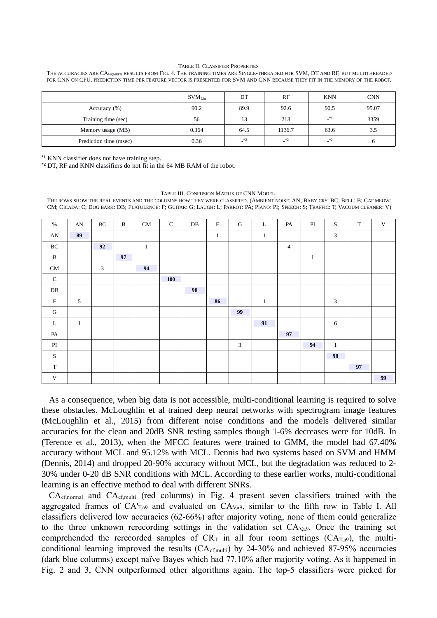### TABLE II. CLASSIFIER PROPERTIES

THE ACCURACIES ARE CA<sub>MVMULTI</sub> RESULTS FROM FIG. 4. THE TRAINING TIMES ARE SINGLE-THREADED FOR SVM, DT AND RF, BUT MULTITHREADED FOR CNN ON CPU. PREDICTION TIME PER FEATURE VECTOR IS PRESENTED FOR SVM AND CNN BECAUSE THEY FIT IN THE MEMORY OF THE ROBOT.

| <b>CNN</b><br>RF<br>SVM <sub>Lin</sub><br>DT<br><b>KNN</b><br>95.07<br>90.2<br>89.9<br>92.6<br>90.5<br>Accuracy (%)<br>$\mathbf{I}^*$<br>3359<br>213<br>56<br>Training time (sec)<br>13<br>1136.7<br>63.6<br>0.364<br>64.5<br>3.5<br>Memory usage (MB)<br>$\mathbf{I}^*$<br>$\cdot$ *2<br>$\cdot$ $\cdot$ $\cdot$ $\cdot$<br>0.36<br>Prediction time (msec)<br>O |  |  |  |
|------------------------------------------------------------------------------------------------------------------------------------------------------------------------------------------------------------------------------------------------------------------------------------------------------------------------------------------------------------------|--|--|--|
|                                                                                                                                                                                                                                                                                                                                                                  |  |  |  |
|                                                                                                                                                                                                                                                                                                                                                                  |  |  |  |
|                                                                                                                                                                                                                                                                                                                                                                  |  |  |  |
|                                                                                                                                                                                                                                                                                                                                                                  |  |  |  |
|                                                                                                                                                                                                                                                                                                                                                                  |  |  |  |

**\*1** KNN classifier does not have training step.

**\*2** DT, RF and KNN classifiers do not fit in the 64 MB RAM of the robot.

### TABLE III. CONFUSION MATRIX OF CNN MODEL.

THE ROWS SHOW THE REAL EVENTS AND THE COLUMNS HOW THEY WERE CLASSIFIED.(AMBIENT NOISE: AN; BABY CRY: BC; BELL: B; CAT MEOW: CM; CICADA: C; DOG BARK: DB; FLATULENCE: F; GUITAR: G; LAUGH: L; PARROT: PA; PIANO: PI; SPEECH: S; TRAFFIC: T; VACUUM CLEANER: V)

| BC<br>AN<br>$\mathbf T$<br>$\mathsf{C}$<br>$\rm F$<br>$\%$<br>$\mathbf{B}$<br>CM<br>DB<br>G<br>L<br>PI<br>S<br>V<br>PA<br>89<br>3<br>${\rm AN}$<br>$\mathbf{1}$<br>$\mathbf{1}$<br>BC<br>92<br>$\mathbf{1}$<br>$\overline{4}$<br>$\, {\bf B}$<br>97<br>$\mathbf{1}$<br>3<br>CM<br>94<br>${\mathsf C}$<br>100<br>DB<br>98<br>$\mathbf F$<br>5<br>3<br>86<br>$1\,$<br>G<br>99<br>91<br>6<br>Г<br>$\mathbf{1}$<br>97<br>PA<br>3<br>PI<br>94<br>$\mathbf{1}$<br>98<br>S<br>$\mathbf T$<br>97<br>99<br>$\ensuremath{\text{V}}$ |  |  |  |  |  |  |  |  |
|---------------------------------------------------------------------------------------------------------------------------------------------------------------------------------------------------------------------------------------------------------------------------------------------------------------------------------------------------------------------------------------------------------------------------------------------------------------------------------------------------------------------------|--|--|--|--|--|--|--|--|
|                                                                                                                                                                                                                                                                                                                                                                                                                                                                                                                           |  |  |  |  |  |  |  |  |
|                                                                                                                                                                                                                                                                                                                                                                                                                                                                                                                           |  |  |  |  |  |  |  |  |
|                                                                                                                                                                                                                                                                                                                                                                                                                                                                                                                           |  |  |  |  |  |  |  |  |
|                                                                                                                                                                                                                                                                                                                                                                                                                                                                                                                           |  |  |  |  |  |  |  |  |
|                                                                                                                                                                                                                                                                                                                                                                                                                                                                                                                           |  |  |  |  |  |  |  |  |
|                                                                                                                                                                                                                                                                                                                                                                                                                                                                                                                           |  |  |  |  |  |  |  |  |
|                                                                                                                                                                                                                                                                                                                                                                                                                                                                                                                           |  |  |  |  |  |  |  |  |
|                                                                                                                                                                                                                                                                                                                                                                                                                                                                                                                           |  |  |  |  |  |  |  |  |
|                                                                                                                                                                                                                                                                                                                                                                                                                                                                                                                           |  |  |  |  |  |  |  |  |
|                                                                                                                                                                                                                                                                                                                                                                                                                                                                                                                           |  |  |  |  |  |  |  |  |
|                                                                                                                                                                                                                                                                                                                                                                                                                                                                                                                           |  |  |  |  |  |  |  |  |
|                                                                                                                                                                                                                                                                                                                                                                                                                                                                                                                           |  |  |  |  |  |  |  |  |
|                                                                                                                                                                                                                                                                                                                                                                                                                                                                                                                           |  |  |  |  |  |  |  |  |
|                                                                                                                                                                                                                                                                                                                                                                                                                                                                                                                           |  |  |  |  |  |  |  |  |
|                                                                                                                                                                                                                                                                                                                                                                                                                                                                                                                           |  |  |  |  |  |  |  |  |

As a consequence, when big data is not accessible, multi-conditional learning is required to solve these obstacles. McLoughlin et al trained deep neural networks with spectrogram image features (McLoughlin et al., 2015) from different noise conditions and the models delivered similar accuracies for the clean and 20dB SNR testing samples though 1-6% decreases were for 10dB. In (Terence et al., 2013), when the MFCC features were trained to GMM, the model had 67.40% accuracy without MCL and 95.12% with MCL. Dennis had two systems based on SVM and HMM (Dennis, 2014) and dropped 20-90% accuracy without MCL, but the degradation was reduced to 2- 30% under 0-20 dB SNR conditions with MCL. According to these earlier works, multi-conditional learning is an effective method to deal with different SNRs.

CAcf,normal and CAcf,multi (red columns) in Fig. 4 present seven classifiers trained with the aggregated frames of  $CA<sub>T,a</sub>9$  and evaluated on  $CA<sub>V,a</sub>9$ , similar to the fifth row in Table I. All classifiers delivered low accuracies (62-66%) after majority voting, none of them could generalize to the three unknown rerecording settings in the validation set CA<sub>V,a9</sub>. Once the training set comprehended the rerecorded samples of  $CR_T$  in all four room settings  $(CA_{T,a9})$ , the multiconditional learning improved the results  $(CA_{cf, multi})$  by 24-30% and achieved 87-95% accuracies (dark blue columns) except naïve Bayes which had 77.10% after majority voting. As it happened in Fig. 2 and 3, CNN outperformed other algorithms again. The top-5 classifiers were picked for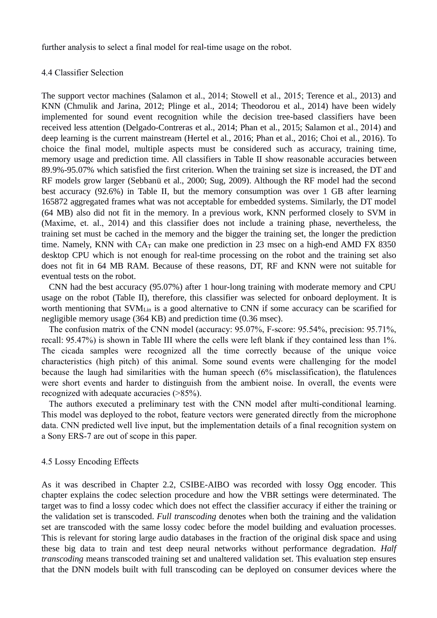further analysis to select a final model for real-time usage on the robot.

### 4.4 Classifier Selection

The support vector machines (Salamon et al., 2014; Stowell et al., 2015; Terence et al., 2013) and KNN (Chmulik and Jarina, 2012; Plinge et al., 2014; Theodorou et al., 2014) have been widely implemented for sound event recognition while the decision tree-based classifiers have been received less attention (Delgado-Contreras et al., 2014; Phan et al., 2015; Salamon et al., 2014) and deep learning is the current mainstream (Hertel et al., 2016; Phan et al., 2016; Choi et al., 2016). To choice the final model, multiple aspects must be considered such as accuracy, training time, memory usage and prediction time. All classifiers in Table II show reasonable accuracies between 89.9%-95.07% which satisfied the first criterion. When the training set size is increased, the DT and RF models grow larger (Sebbanü et al., 2000; Sug, 2009). Although the RF model had the second best accuracy (92.6%) in Table II, but the memory consumption was over 1 GB after learning 165872 aggregated frames what was not acceptable for embedded systems. Similarly, the DT model (64 MB) also did not fit in the memory. In a previous work, KNN performed closely to SVM in (Maxime, et. al., 2014) and this classifier does not include a training phase, nevertheless, the training set must be cached in the memory and the bigger the training set, the longer the prediction time. Namely, KNN with  $CA<sub>T</sub>$  can make one prediction in 23 msec on a high-end AMD FX 8350 desktop CPU which is not enough for real-time processing on the robot and the training set also does not fit in 64 MB RAM. Because of these reasons, DT, RF and KNN were not suitable for eventual tests on the robot.

CNN had the best accuracy (95.07%) after 1 hour-long training with moderate memory and CPU usage on the robot (Table II), therefore, this classifier was selected for onboard deployment. It is worth mentioning that SVM<sub>Lin</sub> is a good alternative to CNN if some accuracy can be scarified for negligible memory usage (364 KB) and prediction time (0.36 msec).

The confusion matrix of the CNN model (accuracy: 95.07%, F-score: 95.54%, precision: 95.71%, recall: 95.47%) is shown in Table III where the cells were left blank if they contained less than 1%. The cicada samples were recognized all the time correctly because of the unique voice characteristics (high pitch) of this animal. Some sound events were challenging for the model because the laugh had similarities with the human speech (6% misclassification), the flatulences were short events and harder to distinguish from the ambient noise. In overall, the events were recognized with adequate accuracies (>85%).

The authors executed a preliminary test with the CNN model after multi-conditional learning. This model was deployed to the robot, feature vectors were generated directly from the microphone data. CNN predicted well live input, but the implementation details of a final recognition system on <sup>a</sup> Sony ERS-7 are out of scope in this paper.4.5 Lossy Encoding Effects

As it was described in Chapter 2.2, CSIBE-AIBO was recorded with lossy Ogg encoder. This chapter explains the codec selection procedure and how the VBR settings were determinated. The target was to find a lossy codec which does not effect the classifier accuracy if either the training or the validation set is transcoded. *Full transcoding* denotes when both the training and the validation set are transcoded with the same lossy codec before the model building and evaluation processes. This is relevant for storing large audio databases in the fraction of the original disk space and using these big data to train and test deep neural networks without performance degradation. *Half transcoding* means transcoded training set and unaltered validation set. This evaluation step ensures that the DNN models built with full transcoding can be deployed on consumer devices where the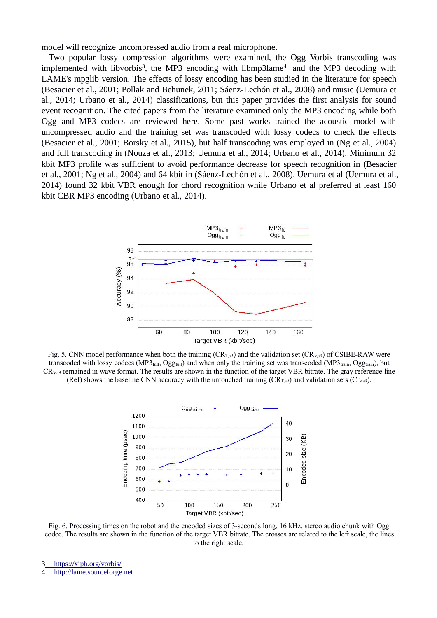model will recognize uncompressed audio from a real microphone.

Two popular lossy compression algorithms were examined, the Ogg Vorbis transcoding was implemented with libvorbis<sup>3</sup>, the MP3 encoding with libmp3lame<sup>4</sup> and the MP3 decoding with LAME's mpglib version. The effects of lossy encoding has been studied in the literature for speech (Besacier et al., 2001; Pollak and Behunek, 2011; Sáenz-Lechón et al., 2008) and music (Uemura et al., 2014; Urbano et al., 2014) classifications, but this paper provides the first analysis for sound event recognition. The cited papers from the literature examined only the MP3 encoding while both Ogg and MP3 codecs are reviewed here. Some past works trained the acoustic model with uncompressed audio and the training set was transcoded with lossy codecs to check the effects (Besacier et al., 2001; Borsky et al., 2015), but half transcoding was employed in (Ng et al., 2004) and full transcoding in (Nouza et al., 2013; Uemura et al., 2014; Urbano et al., 2014). Minimum 32 kbit MP3 profile was sufficient to avoid performance decrease for speech recognition in (Besacier et al., 2001; Ng et al., 2004) and 64 kbit in (Sáenz-Lechón et al., 2008). Uemura et al (Uemura et al., 2014) found 32 kbit VBR enough for chord recognition while Urbano et al preferred at least 160 kbit CBR MP3 encoding (Urbano et al., 2014).



Fig. 5. CNN model performance when both the training  $(CR_{T,a9})$  and the validation set  $(CR_{V,a9})$  of CSIBE-RAW were transcoded with lossy codecs (MP3 $_{\text{full}}$ , Ogg<sub>full</sub>) and when only the training set was transcoded (MP3 $_{\text{train}}$ , Ogg $_{\text{train}}$ ), but  $CR_{Va9}$  remained in wave format. The results are shown in the function of the target VBR bitrate. The gray reference line (Ref) shows the baseline CNN accuracy with the untouched training  $(CR_{Ta9})$  and validation sets  $(Cr_{va9})$ .



Fig. 6. Processing times on the robot and the encoded sizes of 3-seconds long, 16 kHz, stereo audio chunk with Ogg codec. The results are shown in the function of the target VBR bitrate. The crosses are related to the left scale, the lines to the right scale.

3 [https://xiph.org/vorbis/](�� h t s / x p . r / o b s)

[http://lame.sourceforge.net](�� h t : / a e s u c f r e n t  @V@ @c�)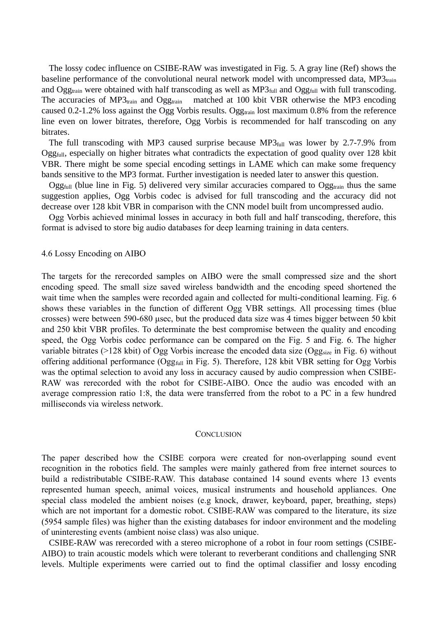The lossy codec influence on CSIBE-RAW was investigated in Fig. 5. A gray line (Ref) shows the baseline performance of the convolutional neural network model with uncompressed data,  $MP3_{train}$ and Ogg<sub>train</sub> were obtained with half transcoding as well as  $MP3$ <sub>full</sub> and Ogg<sub>full</sub> with full transcoding. The accuracies of MP3 $_{\text{train}}$  and Ogg<sub>train</sub> matched at 100 kbit VBR otherwise the MP3 encoding caused 0.2-1.2% loss against the Ogg Vorbis results. Ogg<sub>train</sub> lost maximum 0.8% from the reference line even on lower bitrates, therefore, Ogg Vorbis is recommended for half transcoding on any bitrates.

The full transcoding with MP3 caused surprise because  $MP3$ <sub>full</sub> was lower by 2.7-7.9% from Ogg<sub>full</sub>, especially on higher bitrates what contradicts the expectation of good quality over 128 kbit VBR. There might be some special encoding settings in LAME which can make some frequency bands sensitive to the MP3 format. Further investigation is needed later to answer this question.

Ogg<sub>full</sub> (blue line in Fig. 5) delivered very similar accuracies compared to Ogg<sub>train</sub> thus the same suggestion applies, Ogg Vorbis codec is advised for full transcoding and the accuracy did not decrease over 128 kbit VBR in comparison with the CNN model built from uncompressed audio.

Ogg Vorbis achieved minimal losses in accuracy in both full and half transcoding, therefore, this format is advised to store big audio databases for deep learning training in data centers.

### 4.6 Lossy Encoding on AIBO

The targets for the rerecorded samples on AIBO were the small compressed size and the short encoding speed. The small size saved wireless bandwidth and the encoding speed shortened the wait time when the samples were recorded again and collected for multi-conditional learning. Fig. 6 shows these variables in the function of different Ogg VBR settings. All processing times (blue crosses) were between 590-680 μsec, but the produced data size was 4 times bigger between 50 kbit and 250 kbit VBR profiles. To determinate the best compromise between the quality and encoding speed, the Ogg Vorbis codec performance can be compared on the Fig. 5 and Fig. 6. The higher variable bitrates ( $>128$  kbit) of Ogg Vorbis increase the encoded data size (Ogg<sub>size</sub> in Fig. 6) without offering additional performance (Ogg<sub>full</sub> in Fig. 5). Therefore, 128 kbit VBR setting for Ogg Vorbis was the optimal selection to avoid any loss in accuracy caused by audio compression when CSIBE- RAW was rerecorded with the robot for CSIBE-AIBO. Once the audio was encoded with an average compression ratio 1:8, the data were transferred from the robot to a PC in a few hundred milliseconds via wireless network.

### **CONCLUSION**

The paper described how the CSIBE corpora were created for non-overlapping sound event recognition in the robotics field. The samples were mainly gathered from free internet sources to build a redistributable CSIBE-RAW. This database contained 14 sound events where 13 events represented human speech, animal voices, musical instruments and household appliances. One special class modeled the ambient noises (e.g knock, drawer, keyboard, paper, breathing, steps) which are not important for a domestic robot. CSIBE-RAW was compared to the literature, its size (5954 sample files) was higher than the existing databases for indoor environment and the modeling of uninteresting events (ambient noise class) was also unique.

CSIBE-RAW was rerecorded with a stereo microphone of a robot in four room settings (CSIBE- AIBO) to train acoustic models which were tolerant to reverberant conditions and challenging SNR levels. Multiple experiments were carried out to find the optimal classifier and lossy encoding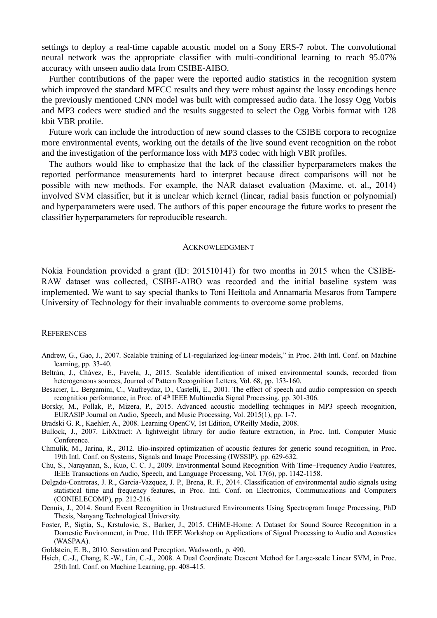settings to deploy a real-time capable acoustic model on a Sony ERS-7 robot. The convolutional neural network was the appropriate classifier with multi-conditional learning to reach 95.07% accuracy with unseen audio data from CSIBE-AIBO.

Further contributions of the paper were the reported audio statistics in the recognition system which improved the standard MFCC results and they were robust against the lossy encodings hence the previously mentioned CNN model was built with compressed audio data. The lossy Ogg Vorbis and MP3 codecs were studied and the results suggested to select the Ogg Vorbis format with 128 kbit VBR profile.

Future work can include the introduction of new sound classes to the CSIBE corpora to recognize more environmental events, working out the details of the live sound event recognition on the robot and the investigation of the performance loss with MP3 codec with high VBR profiles.

The authors would like to emphasize that the lack of the classifier hyperparameters makes the reported performance measurements hard to interpret because direct comparisons will not be possible with new methods. For example, the NAR dataset evaluation (Maxime, et. al., 2014) involved SVM classifier, but it is unclear which kernel (linear, radial basis function or polynomial) and hyperparameters were used. The authors of this paper encourage the future works to present the classifier hyperparameters for reproducible research.

### ACKNOWLEDGMENT

Nokia Foundation provided a grant (ID: 201510141) for two months in 2015 when the CSIBE- RAW dataset was collected, CSIBE-AIBO was recorded and the initial baseline system was implemented. We want to say special thanks to Toni Heittola and Annamaria Mesaros from Tampere University of Technology for their invaluable comments to overcome some problems.

### **REFERENCES**

- Andrew, G., Gao, J., 2007. Scalable training of L1-regularized log-linear models," in Proc. 24th Intl. Conf. on Machine learning, pp. 33-40.
- Beltrán, J., Chávez, E., Favela, J., 2015. Scalable identification of mixed environmental sounds, recorded from heterogeneous sources, Journal of Pattern Recognition Letters, Vol. 68, pp. 153-160.

Besacier, L., Bergamini, C., Vaufreydaz, D., Castelli, E., 2001. The effect of speech and audio compression on speech recognition performance, in Proc. of 4<sup>th</sup> IEEE Multimedia Signal Processing, pp. 301-306.

Borsky, M., Pollak, P., Mizera, P., 2015. Advanced acoustic modelling techniques in MP3 speech recognition, EURASIP Journal on Audio, Speech, and Music Processing, Vol. 2015(1), pp. 1-7.

Bradski G. R., Kaehler, A., 2008. Learning OpenCV, 1st Edition, O'Reilly Media, 2008.

- Bullock, J., 2007. LibXtract: A lightweight library for audio feature extraction, in Proc. Intl. Computer Music Conference.
- Chmulik, M., Jarina, R., 2012. Bio-inspired optimization of acoustic features for generic sound recognition, in Proc. 19th Intl. Conf. on Systems, Signals and Image Processing (IWSSIP), pp. 629-632.
- Chu, S., Narayanan, S., Kuo, C. C. J., 2009. Environmental Sound Recognition With Time–Frequency Audio Features, IEEE Transactions on Audio, Speech, and Language Processing, Vol. 17(6), pp. 1142-1158.
- Delgado-Contreras, J. R., Garcia-Vazquez, J. P., Brena, R. F., 2014. Classification of environmental audio signals using statistical time and frequency features, in Proc. Intl.Conf. on Electronics, Communications and Computers (CONIELECOMP), pp. 212-216.
- Dennis, J., 2014. Sound Event Recognition in Unstructured Environments Using Spectrogram Image Processing, PhD Thesis, Nanyang Technological University.
- Foster, P., Sigtia, S., Krstulovic, S., Barker, J., 2015. CHiME-Home: A Dataset for Sound Source Recognition in a Domestic Environment, in Proc. 11th IEEE Workshop on Applications of Signal Processing to Audio and Acoustics (WASPAA).
- Goldstein, E. B., 2010. Sensation and Perception, Wadsworth, p. 490.
- Hsieh, C.-J., Chang, K.-W., Lin, C.-J., 2008. A Dual Coordinate Descent Method for Large-scale Linear SVM, in Proc. 25th Intl. Conf. on Machine Learning, pp. 408-415.